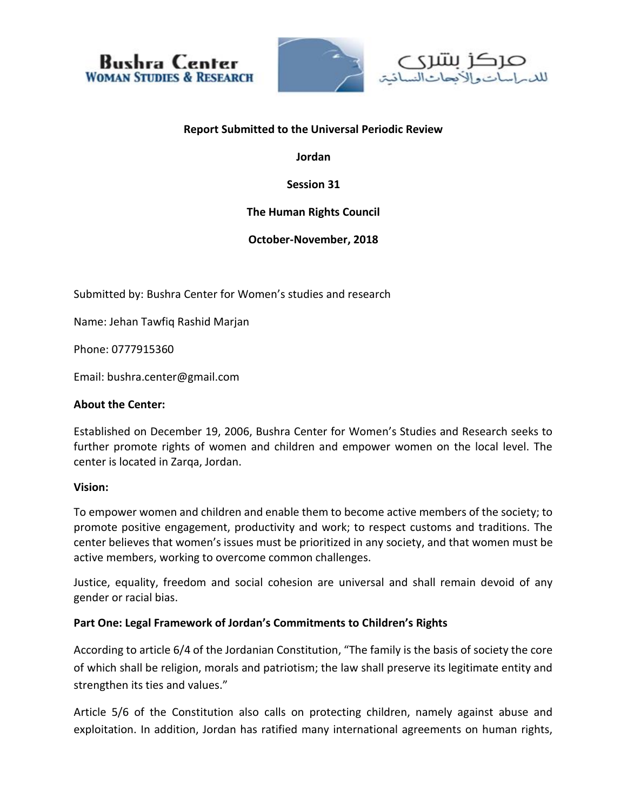



#### **Report Submitted to the Universal Periodic Review**

**Jordan**

**Session 31**

# **The Human Rights Council**

**October-November, 2018**

Submitted by: Bushra Center for Women's studies and research

Name: Jehan Tawfiq Rashid Marjan

Phone: 0777915360

Email: bushra.center@gmail.com

#### **About the Center:**

Established on December 19, 2006, Bushra Center for Women's Studies and Research seeks to further promote rights of women and children and empower women on the local level. The center is located in Zarqa, Jordan.

#### **Vision:**

To empower women and children and enable them to become active members of the society; to promote positive engagement, productivity and work; to respect customs and traditions. The center believes that women's issues must be prioritized in any society, and that women must be active members, working to overcome common challenges.

Justice, equality, freedom and social cohesion are universal and shall remain devoid of any gender or racial bias.

#### **Part One: Legal Framework of Jordan's Commitments to Children's Rights**

According to article 6/4 of the Jordanian Constitution, "The family is the basis of society the core of which shall be religion, morals and patriotism; the law shall preserve its legitimate entity and strengthen its ties and values."

Article 5/6 of the Constitution also calls on protecting children, namely against abuse and exploitation. In addition, Jordan has ratified many international agreements on human rights,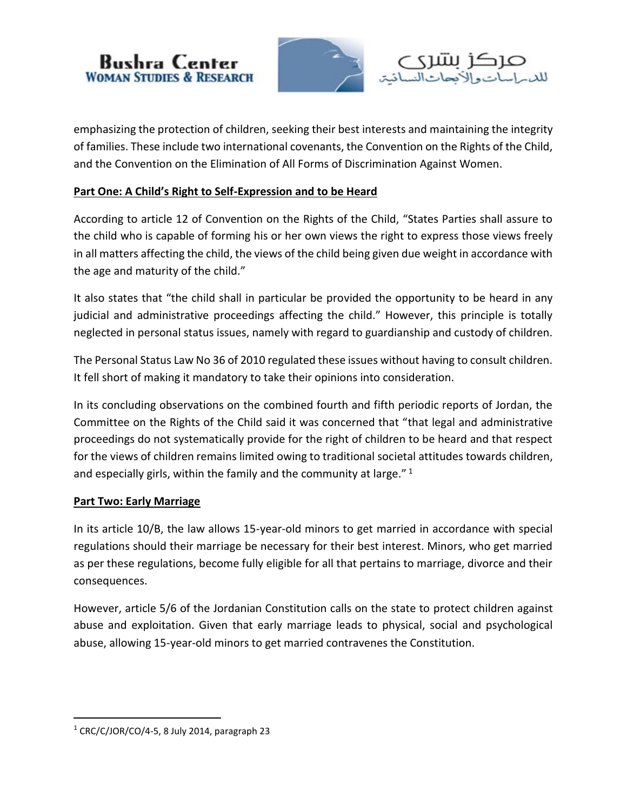



emphasizing the protection of children, seeking their best interests and maintaining the integrity of families. These include two international covenants, the Convention on the Rights of the Child, and the Convention on the Elimination of All Forms of Discrimination Against Women.

### **Part One: A Child's Right to Self-Expression and to be Heard**

According to article 12 of Convention on the Rights of the Child, "States Parties shall assure to the child who is capable of forming his or her own views the right to express those views freely in all matters affecting the child, the views of the child being given due weight in accordance with the age and maturity of the child."

It also states that "the child shall in particular be provided the opportunity to be heard in any judicial and administrative proceedings affecting the child." However, this principle is totally neglected in personal status issues, namely with regard to guardianship and custody of children.

The Personal Status Law No 36 of 2010 regulated these issues without having to consult children. It fell short of making it mandatory to take their opinions into consideration.

In its concluding observations on the combined fourth and fifth periodic reports of Jordan, the Committee on the Rights of the Child said it was concerned that "that legal and administrative proceedings do not systematically provide for the right of children to be heard and that respect for the views of children remains limited owing to traditional societal attitudes towards children, and especially girls, within the family and the community at large." <sup>1</sup>

#### **Part Two: Early Marriage**

In its article 10/B, the law allows 15-year-old minors to get married in accordance with special regulations should their marriage be necessary for their best interest. Minors, who get married as per these regulations, become fully eligible for all that pertains to marriage, divorce and their consequences.

However, article 5/6 of the Jordanian Constitution calls on the state to protect children against abuse and exploitation. Given that early marriage leads to physical, social and psychological abuse, allowing 15-year-old minors to get married contravenes the Constitution.

 $\overline{\phantom{a}}$ 

 $1$  CRC/C/JOR/CO/4-5, 8 July 2014, paragraph 23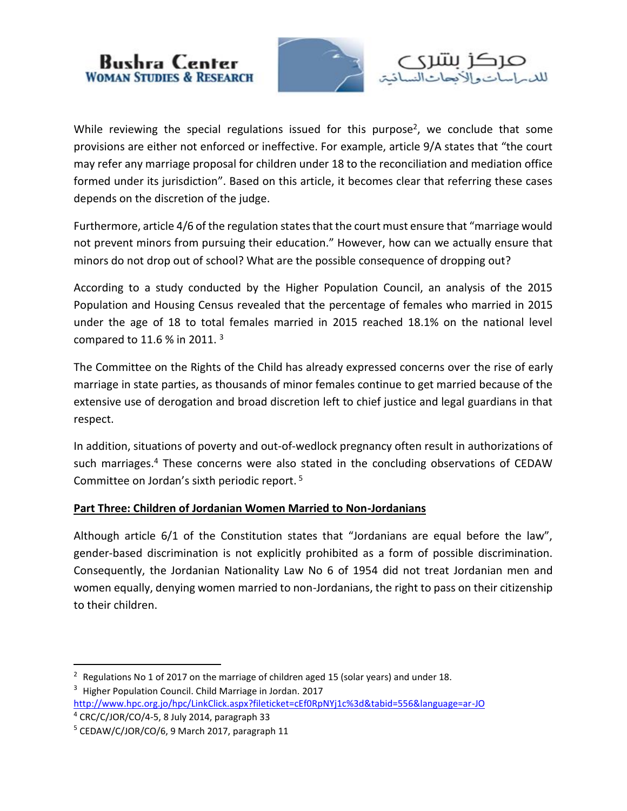



While reviewing the special regulations issued for this purpose<sup>2</sup>, we conclude that some provisions are either not enforced or ineffective. For example, article 9/A states that "the court may refer any marriage proposal for children under 18 to the reconciliation and mediation office formed under its jurisdiction". Based on this article, it becomes clear that referring these cases depends on the discretion of the judge.

Furthermore, article 4/6 of the regulation states that the court must ensure that "marriage would not prevent minors from pursuing their education." However, how can we actually ensure that minors do not drop out of school? What are the possible consequence of dropping out?

According to a study conducted by the Higher Population Council, an analysis of the 2015 Population and Housing Census revealed that the percentage of females who married in 2015 under the age of 18 to total females married in 2015 reached 18.1% on the national level compared to 11.6 % in 2011.  $3$ 

The Committee on the Rights of the Child has already expressed concerns over the rise of early marriage in state parties, as thousands of minor females continue to get married because of the extensive use of derogation and broad discretion left to chief justice and legal guardians in that respect.

In addition, situations of poverty and out-of-wedlock pregnancy often result in authorizations of such marriages.<sup>4</sup> These concerns were also stated in the concluding observations of CEDAW Committee on Jordan's sixth periodic report.<sup>5</sup>

## **Part Three: Children of Jordanian Women Married to Non-Jordanians**

Although article 6/1 of the Constitution states that "Jordanians are equal before the law", gender-based discrimination is not explicitly prohibited as a form of possible discrimination. Consequently, the Jordanian Nationality Law No 6 of 1954 did not treat Jordanian men and women equally, denying women married to non-Jordanians, the right to pass on their citizenship to their children.

 $\overline{\phantom{a}}$ 

 $2$  Regulations No 1 of 2017 on the marriage of children aged 15 (solar years) and under 18. <sup>3</sup> Higher Population Council. Child Marriage in Jordan. 2017

<http://www.hpc.org.jo/hpc/LinkClick.aspx?fileticket=cEf0RpNYj1c%3d&tabid=556&language=ar-JO>  $4$  CRC/C/JOR/CO/4-5, 8 July 2014, paragraph 33

<sup>5</sup> CEDAW/C/JOR/CO/6, 9 March 2017, paragraph 11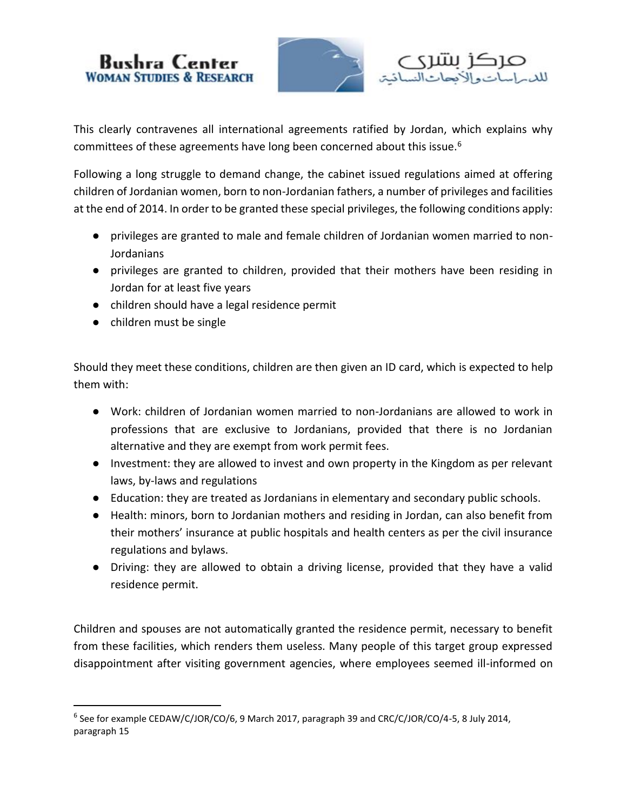



This clearly contravenes all international agreements ratified by Jordan, which explains why committees of these agreements have long been concerned about this issue.<sup>6</sup>

Following a long struggle to demand change, the cabinet issued regulations aimed at offering children of Jordanian women, born to non-Jordanian fathers, a number of privileges and facilities at the end of 2014. In order to be granted these special privileges, the following conditions apply:

- privileges are granted to male and female children of Jordanian women married to non-Jordanians
- privileges are granted to children, provided that their mothers have been residing in Jordan for at least five years
- children should have a legal residence permit
- children must be single

 $\overline{a}$ 

Should they meet these conditions, children are then given an ID card, which is expected to help them with:

- Work: children of Jordanian women married to non-Jordanians are allowed to work in professions that are exclusive to Jordanians, provided that there is no Jordanian alternative and they are exempt from work permit fees.
- Investment: they are allowed to invest and own property in the Kingdom as per relevant laws, by-laws and regulations
- Education: they are treated as Jordanians in elementary and secondary public schools.
- Health: minors, born to Jordanian mothers and residing in Jordan, can also benefit from their mothers' insurance at public hospitals and health centers as per the civil insurance regulations and bylaws.
- Driving: they are allowed to obtain a driving license, provided that they have a valid residence permit.

Children and spouses are not automatically granted the residence permit, necessary to benefit from these facilities, which renders them useless. Many people of this target group expressed disappointment after visiting government agencies, where employees seemed ill-informed on

<sup>&</sup>lt;sup>6</sup> See for example CEDAW/C/JOR/CO/6, 9 March 2017, paragraph 39 and CRC/C/JOR/CO/4-5, 8 July 2014, paragraph 15